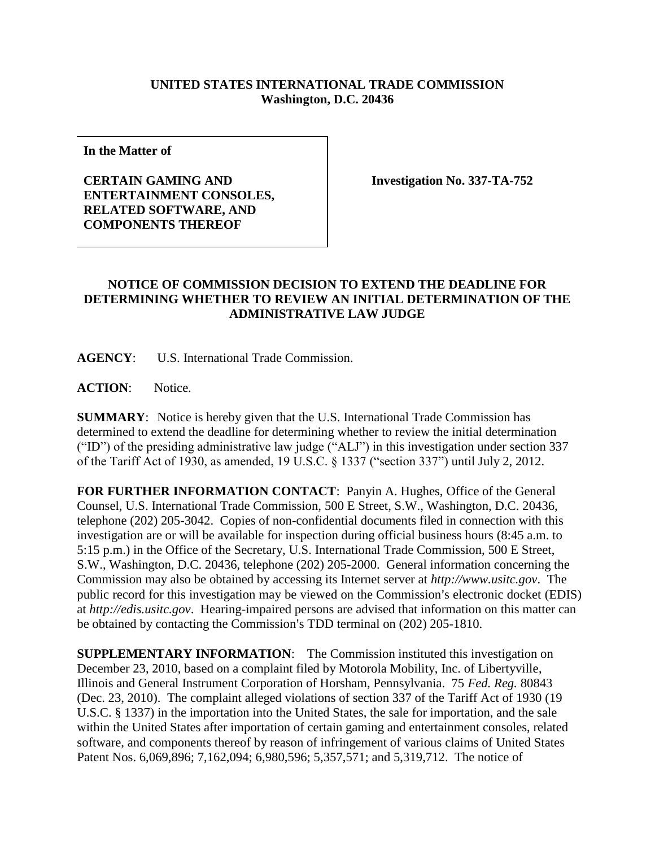## **UNITED STATES INTERNATIONAL TRADE COMMISSION Washington, D.C. 20436**

**In the Matter of** 

## **CERTAIN GAMING AND ENTERTAINMENT CONSOLES, RELATED SOFTWARE, AND COMPONENTS THEREOF**

**Investigation No. 337-TA-752**

## **NOTICE OF COMMISSION DECISION TO EXTEND THE DEADLINE FOR DETERMINING WHETHER TO REVIEW AN INITIAL DETERMINATION OF THE ADMINISTRATIVE LAW JUDGE**

**AGENCY**: U.S. International Trade Commission.

**ACTION**: Notice.

**SUMMARY**: Notice is hereby given that the U.S. International Trade Commission has determined to extend the deadline for determining whether to review the initial determination ("ID") of the presiding administrative law judge ("ALJ") in this investigation under section 337 of the Tariff Act of 1930, as amended, 19 U.S.C. § 1337 ("section 337") until July 2, 2012.

**FOR FURTHER INFORMATION CONTACT**: Panyin A. Hughes, Office of the General Counsel, U.S. International Trade Commission, 500 E Street, S.W., Washington, D.C. 20436, telephone (202) 205-3042. Copies of non-confidential documents filed in connection with this investigation are or will be available for inspection during official business hours (8:45 a.m. to 5:15 p.m.) in the Office of the Secretary, U.S. International Trade Commission, 500 E Street, S.W., Washington, D.C. 20436, telephone (202) 205-2000. General information concerning the Commission may also be obtained by accessing its Internet server at *http://www.usitc.gov*. The public record for this investigation may be viewed on the Commission's electronic docket (EDIS) at *http://edis.usitc.gov*. Hearing-impaired persons are advised that information on this matter can be obtained by contacting the Commission's TDD terminal on (202) 205-1810.

**SUPPLEMENTARY INFORMATION:** The Commission instituted this investigation on December 23, 2010, based on a complaint filed by Motorola Mobility, Inc. of Libertyville, Illinois and General Instrument Corporation of Horsham, Pennsylvania. 75 *Fed. Reg.* 80843 (Dec. 23, 2010). The complaint alleged violations of section 337 of the Tariff Act of 1930 (19 U.S.C. § 1337) in the importation into the United States, the sale for importation, and the sale within the United States after importation of certain gaming and entertainment consoles, related software, and components thereof by reason of infringement of various claims of United States Patent Nos. 6,069,896; 7,162,094; 6,980,596; 5,357,571; and 5,319,712. The notice of